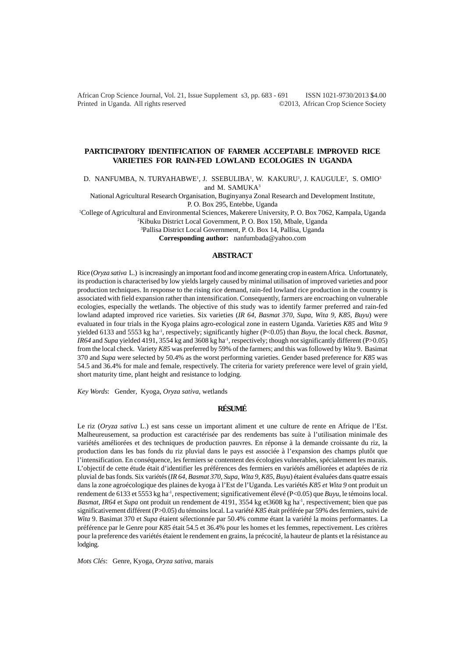African Crop Science Journal, Vol. 21, Issue Supplement s3, pp. 683 - 691 ISSN 1021-9730/2013 \$4.00 Printed in Uganda. All rights reserved ©2013, African Crop Science Society

## **PARTICIPATORY IDENTIFICATION OF FARMER ACCEPTABLE IMPROVED RICE VARIETIES FOR RAIN-FED LOWLAND ECOLOGIES IN UGANDA**

D. NANFUMBA, N. TURYAHABWE<sup>1</sup>, J. SSEBULIBA<sup>1</sup>, W. KAKURU<sup>1</sup>, J. KAUGULE<sup>2</sup>, S. OMIO<sup>3</sup> and M. SAMUKA<sup>3</sup>

National Agricultural Research Organisation, Buginyanya Zonal Research and Development Institute, P. O. Box 295, Entebbe, Uganda

1 College of Agricultural and Environmental Sciences, Makerere University, P. O. Box 7062, Kampala, Uganda

2 Kibuku District Local Government, P. O. Box 150, Mbale, Uganda

3 Pallisa District Local Government, P. O. Box 14, Pallisa, Uganda

**Corresponding author:** nanfumbada@yahoo.com

### **ABSTRACT**

Rice (*Oryza sativa* L.) is increasingly an important food and income generating crop in eastern Africa. Unfortunately, its production is characterised by low yields largely caused by minimal utilisation of improved varieties and poor production techniques. In response to the rising rice demand, rain-fed lowland rice production in the country is associated with field expansion rather than intensification. Consequently, farmers are encroaching on vulnerable ecologies, especially the wetlands. The objective of this study was to identify farmer preferred and rain-fed lowland adapted improved rice varieties. Six varieties (*IR 64, Basmat 370, Supa, Wita 9, K85, Buyu*) were evaluated in four trials in the Kyoga plains agro-ecological zone in eastern Uganda. Varieties *K85* and *Wita 9* yielded 6133 and 5553 kg ha-1, respectively; significantly higher (P<0.05) than *Buyu,* the local check. *Basmat, IR64* and *Supa* yielded 4191, 3554 kg and 3608 kg ha<sup>-1</sup>, respectively; though not significantly different (P>0.05) from the local check. Variety *K85* was preferred by 59% of the farmers; and this was followed by *Wita* 9. Basimat 370 and *Supa* were selected by 50.4% as the worst performing varieties. Gender based preference for *K85* was 54.5 and 36.4% for male and female, respectively. The criteria for variety preference were level of grain yield, short maturity time, plant height and resistance to lodging.

*Key Words*: Gender*,* Kyoga*, Oryza sativa*, wetlands

## **RÉSUMÉ**

Le riz (*Oryza sativa* L.) est sans cesse un important aliment et une culture de rente en Afrique de l'Est. Malheureusement, sa production est caractérisée par des rendements bas suite à l'utilisation minimale des variétés améliorées et des techniques de production pauvres. En réponse à la demande croissante du riz, la production dans les bas fonds du riz pluvial dans le pays est associée à l'expansion des champs plutôt que l'intensification. En conséquence, les fermiers se contentent des écologies vulnerables, spécialement les marais. L'objectif de cette étude était d'identifier les préférences des fermiers en variétés améliorées et adaptées de riz pluvial de bas fonds. Six variétés (*IR 64, Basmat 370, Supa, Wita 9, K85, Buyu*) étaient évaluées dans quatre essais dans la zone agroécologique des plaines de kyoga à l'Est de l'Uganda. Les variétés *K85 et Wita 9* ont produit un rendement de 6133 et 5553 kg ha-1, respectivement; significativement élevé (P<0.05) que *Buyu,* le témoins local. *Basmat, IR64* et *Supa* ont produit un rendement de 4191, 3554 kg et3608 kg ha<sup>-1</sup>, respectivement; bien que pas significativement différent (P>0.05) du témoins local. La variété *K85* était préférée par 59% des fermiers, suivi de *Wita* 9. Basimat 370 et *Supa* étaient sélectionnée par 50.4% comme étant la variété la moins performantes. La préférence par le Genre pour *K85* était 54.5 et 36.4% pour les homes et les femmes, repectivement. Les critères pour la preference des variétés étaient le rendement en grains, la précocité, la hauteur de plants et la résistance au lodging.

*Mots Clés*: Genre*,* Kyoga*, Oryza sativa*, marais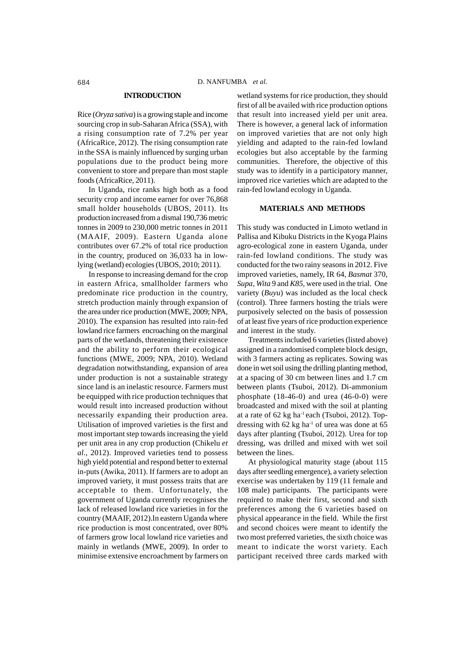#### **INTRODUCTION**

Rice (*Oryza sativa*) is a growing staple and income sourcing crop in sub-Saharan Africa (SSA), with a rising consumption rate of 7.2% per year (AfricaRice, 2012). The rising consumption rate in the SSA is mainly influenced by surging urban populations due to the product being more convenient to store and prepare than most staple foods (AfricaRice, 2011).

In Uganda, rice ranks high both as a food security crop and income earner for over 76,868 small holder households (UBOS, 2011). Its production increased from a dismal 190,736 metric tonnes in 2009 to 230,000 metric tonnes in 2011 (MAAIF, 2009). Eastern Uganda alone contributes over 67.2% of total rice production in the country, produced on 36,033 ha in lowlying (wetland) ecologies (UBOS, 2010; 2011).

In response to increasing demand for the crop in eastern Africa, smallholder farmers who predominate rice production in the country, stretch production mainly through expansion of the area under rice production (MWE, 2009; NPA, 2010). The expansion has resulted into rain-fed lowland rice farmers encroaching on the marginal parts of the wetlands, threatening their existence and the ability to perform their ecological functions (MWE, 2009; NPA, 2010). Wetland degradation notwithstanding, expansion of area under production is not a sustainable strategy since land is an inelastic resource. Farmers must be equipped with rice production techniques that would result into increased production without necessarily expanding their production area. Utilisation of improved varieties is the first and most important step towards increasing the yield per unit area in any crop production (Chikelu *et al*., 2012). Improved varieties tend to possess high yield potential and respond better to external in-puts (Awika, 2011). If farmers are to adopt an improved variety, it must possess traits that are acceptable to them. Unfortunately, the government of Uganda currently recognises the lack of released lowland rice varieties in for the country (MAAIF, 2012).In eastern Uganda where rice production is most concentrated, over 80% of farmers grow local lowland rice varieties and mainly in wetlands (MWE, 2009). In order to minimise extensive encroachment by farmers on

wetland systems for rice production, they should first of all be availed with rice production options that result into increased yield per unit area. There is however, a general lack of information on improved varieties that are not only high yielding and adapted to the rain-fed lowland ecologies but also acceptable by the farming communities. Therefore, the objective of this study was to identify in a participatory manner, improved rice varieties which are adapted to the rain-fed lowland ecology in Uganda.

#### **MATERIALS AND METHODS**

This study was conducted in Limoto wetland in Pallisa and Kibuku Districts in the Kyoga Plains agro-ecological zone in eastern Uganda, under rain-fed lowland conditions. The study was conducted for the two rainy seasons in 2012. Five improved varieties, namely, IR 64, *Basmat* 370, *Supa*, *Wita* 9 and *K85*, were used in the trial. One variety (*Buyu*) was included as the local check (control). Three farmers hosting the trials were purposively selected on the basis of possession of at least five years of rice production experience and interest in the study.

Treatments included 6 varieties (listed above) assigned in a randomised complete block design, with 3 farmers acting as replicates. Sowing was done in wet soil using the drilling planting method, at a spacing of 30 cm between lines and 1.7 cm between plants (Tsuboi, 2012). Di-ammonium phosphate (18-46-0) and urea (46-0-0) were broadcasted and mixed with the soil at planting at a rate of 62 kg ha-1 each (Tsuboi, 2012). Topdressing with  $62$  kg ha<sup>-1</sup> of urea was done at  $65$ days after planting (Tsuboi, 2012). Urea for top dressing, was drilled and mixed with wet soil between the lines.

At physiological maturity stage (about 115 days after seedling emergence), a variety selection exercise was undertaken by 119 (11 female and 108 male) participants. The participants were required to make their first, second and sixth preferences among the 6 varieties based on physical appearance in the field. While the first and second choices were meant to identify the two most preferred varieties, the sixth choice was meant to indicate the worst variety. Each participant received three cards marked with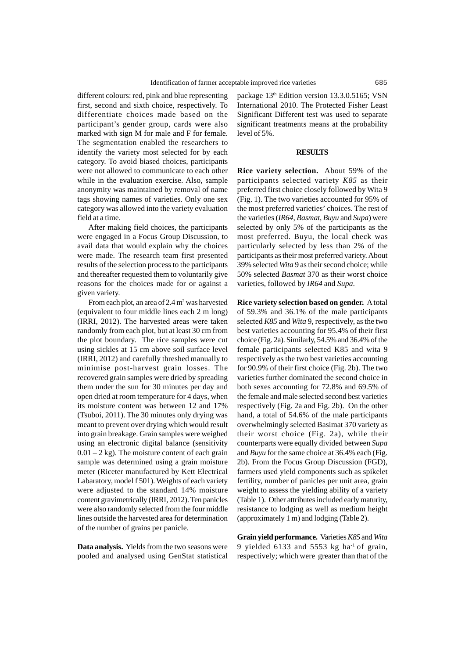different colours: red, pink and blue representing first, second and sixth choice, respectively. To differentiate choices made based on the participant's gender group, cards were also marked with sign M for male and F for female. The segmentation enabled the researchers to identify the variety most selected for by each category. To avoid biased choices, participants were not allowed to communicate to each other while in the evaluation exercise. Also, sample anonymity was maintained by removal of name tags showing names of varieties. Only one sex category was allowed into the variety evaluation field at a time.

After making field choices, the participants were engaged in a Focus Group Discussion, to avail data that would explain why the choices were made. The research team first presented results of the selection process to the participants and thereafter requested them to voluntarily give reasons for the choices made for or against a given variety.

From each plot, an area of  $2.4 \text{ m}^2$  was harvested (equivalent to four middle lines each 2 m long) (IRRI, 2012). The harvested areas were taken randomly from each plot, but at least 30 cm from the plot boundary. The rice samples were cut using sickles at 15 cm above soil surface level (IRRI, 2012) and carefully threshed manually to minimise post-harvest grain losses. The recovered grain samples were dried by spreading them under the sun for 30 minutes per day and open dried at room temperature for 4 days, when its moisture content was between 12 and 17% (Tsuboi, 2011). The 30 minutes only drying was meant to prevent over drying which would result into grain breakage. Grain samples were weighed using an electronic digital balance (sensitivity  $0.01 - 2$  kg). The moisture content of each grain sample was determined using a grain moisture meter (Riceter manufactured by Kett Electrical Labaratory, model f 501). Weights of each variety were adjusted to the standard 14% moisture content gravimetrically (IRRI, 2012). Ten panicles were also randomly selected from the four middle lines outside the harvested area for determination of the number of grains per panicle.

**Data analysis.** Yields from the two seasons were pooled and analysed using GenStat statistical package 13<sup>th</sup> Edition version 13.3.0.5165; VSN International 2010. The Protected Fisher Least Significant Different test was used to separate significant treatments means at the probability level of 5%.

#### **RESULTS**

**Rice variety selection.** About 59% of the participants selected variety *K85* as their preferred first choice closely followed by Wita 9 (Fig. 1). The two varieties accounted for 95% of the most preferred varieties' choices. The rest of the varieties (*IR64*, *Basmat*, *Buyu* and *Supa*) were selected by only 5% of the participants as the most preferred. Buyu, the local check was particularly selected by less than 2% of the participants as their most preferred variety. About 39% selected *Wita* 9 as their second choice; while 50% selected *Basmat* 370 as their worst choice varieties, followed by *IR64* and *Supa*.

**Rice variety selection based on gender.**A total of 59.3% and 36.1% of the male participants selected *K85* and *Wita* 9, respectively, as the two best varieties accounting for 95.4% of their first choice (Fig. 2a). Similarly, 54.5% and 36.4% of the female participants selected K85 and wita 9 respectively as the two best varieties accounting for 90.9% of their first choice (Fig. 2b). The two varieties further dominated the second choice in both sexes accounting for 72.8% and 69.5% of the female and male selected second best varieties respectively (Fig. 2a and Fig. 2b). On the other hand, a total of 54.6% of the male participants overwhelmingly selected Basimat 370 variety as their worst choice (Fig. 2a), while their counterparts were equally divided between *Supa* and *Buyu* for the same choice at 36.4% each (Fig. 2b). From the Focus Group Discussion (FGD), farmers used yield components such as spikelet fertility, number of panicles per unit area, grain weight to assess the yielding ability of a variety (Table 1). Other attributes included early maturity, resistance to lodging as well as medium height (approximately 1 m) and lodging (Table 2).

**Grain yield performance.** Varieties *K85* and *Wita* 9 yielded 6133 and 5553 kg ha $\frac{1}{2}$  of grain, respectively; which were greater than that of the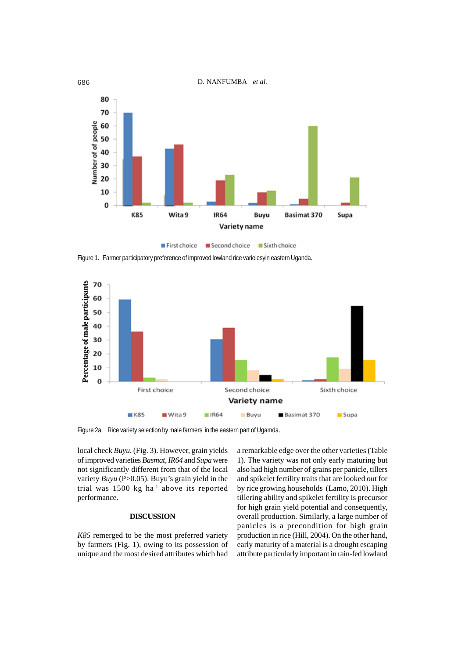

First choice Second choice Sixth choice

Figure 1. Farmer participatory preference of improved lowland rice varieiesyin eastern Uganda.



Figure 2a. Rice variety selection by male farmers in the eastern part of Ugamda.

local check *Buyu.* (Fig. 3). However, grain yields of improved varieties *Basmat*, *IR64* and *Supa* were not significantly different from that of the local variety *Buyu* (P>0.05). Buyu's grain yield in the trial was  $1500 \text{ kg}$  ha<sup>1</sup> above its reported performance.

### **DISCUSSION**

*K85* remerged to be the most preferred variety by farmers (Fig. 1), owing to its possession of unique and the most desired attributes which had

a remarkable edge over the other varieties (Table 1). The variety was not only early maturing but also had high number of grains per panicle, tillers and spikelet fertility traits that are looked out for by rice growing households (Lamo, 2010). High tillering ability and spikelet fertility is precursor for high grain yield potential and consequently, overall production. Similarly, a large number of panicles is a precondition for high grain production in rice (Hill, 2004). On the other hand, early maturity of a material is a drought escaping attribute particularly important in rain-fed lowland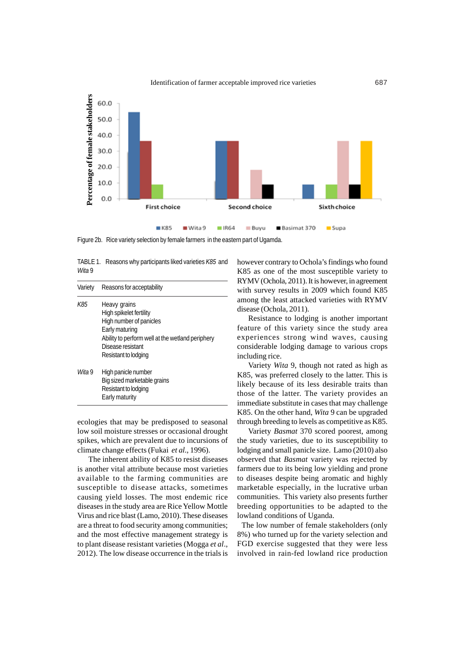

Figure 2b. Rice variety selection by female farmers in the eastern part of Ugamda.

|        | TABLE 1. Reasons why participants liked varieties K85 and |
|--------|-----------------------------------------------------------|
| Wita 9 |                                                           |
|        |                                                           |

| Variety   | Reasons for acceptability                                                                                                                                                             |
|-----------|---------------------------------------------------------------------------------------------------------------------------------------------------------------------------------------|
| K85       | Heavy grains<br>High spikelet fertility<br>High number of panicles<br>Early maturing<br>Ability to perform well at the wetland periphery<br>Disease resistant<br>Resistant to lodging |
| $W$ ita 9 | High panicle number<br>Big sized marketable grains<br>Resistant to lodging<br>Early maturity                                                                                          |

ecologies that may be predisposed to seasonal low soil moisture stresses or occasional drought spikes, which are prevalent due to incursions of climate change effects (Fukai *et al*., 1996).

The inherent ability of K85 to resist diseases is another vital attribute because most varieties available to the farming communities are susceptible to disease attacks, sometimes causing yield losses. The most endemic rice diseases in the study area are Rice Yellow Mottle Virus and rice blast (Lamo, 2010). These diseases are a threat to food security among communities; and the most effective management strategy is to plant disease resistant varieties (Mogga *et al*., 2012). The low disease occurrence in the trials is

however contrary to Ochola's findings who found K85 as one of the most susceptible variety to RYMV (Ochola, 2011). It is however, in agreement with survey results in 2009 which found K85 among the least attacked varieties with RYMV disease (Ochola, 2011).

Resistance to lodging is another important feature of this variety since the study area experiences strong wind waves, causing considerable lodging damage to various crops including rice.

Variety *Wita* 9, though not rated as high as K85, was preferred closely to the latter. This is likely because of its less desirable traits than those of the latter. The variety provides an immediate substitute in cases that may challenge K85. On the other hand, *Wita* 9 can be upgraded through breeding to levels as competitive as K85.

Variety *Basmat* 370 scored poorest, among the study varieties, due to its susceptibility to lodging and small panicle size. Lamo (2010) also observed that *Basmat* variety was rejected by farmers due to its being low yielding and prone to diseases despite being aromatic and highly marketable especially, in the lucrative urban communities. This variety also presents further breeding opportunities to be adapted to the lowland conditions of Uganda.

 The low number of female stakeholders (only 8%) who turned up for the variety selection and FGD exercise suggested that they were less involved in rain-fed lowland rice production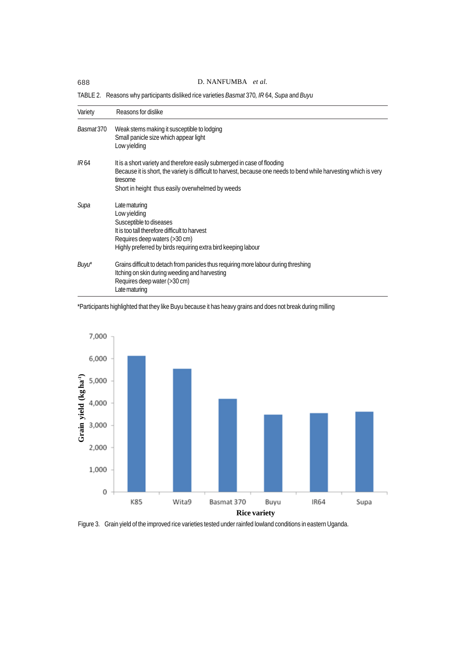# 688 D. NANFUMBA *et al.*

| Variety      | Reasons for dislike                                                                                                                                                                                                                                            |
|--------------|----------------------------------------------------------------------------------------------------------------------------------------------------------------------------------------------------------------------------------------------------------------|
| Basmat370    | Weak stems making it susceptible to lodging<br>Small panicle size which appear light<br>Low yielding                                                                                                                                                           |
| <i>IR</i> 64 | It is a short variety and therefore easily submerged in case of flooding<br>Because it is short, the variety is difficult to harvest, because one needs to bend while harvesting which is very<br>tiresome<br>Short in height thus easily overwhelmed by weeds |
| Supa         | Late maturing<br>Low yielding<br>Susceptible to diseases<br>It is too tall therefore difficult to harvest<br>Requires deep waters (>30 cm)<br>Highly preferred by birds requiring extra bird keeping labour                                                    |
| Buyu*        | Grains difficult to detach from panicles thus requiring more labour during threshing<br>Itching on skin during weeding and harvesting<br>Requires deep water (>30 cm)<br>Late maturing                                                                         |

TABLE 2. Reasons why participants disliked rice varieties *Basmat* 370*, IR* 64*, Supa* and *Buyu*

<sup>\*</sup>Participants highlighted that they like Buyu because it has heavy grains and does not break during milling



Figure 3. Grain yield of the improved rice varieties tested under rainfed lowland conditions in eastern Uganda.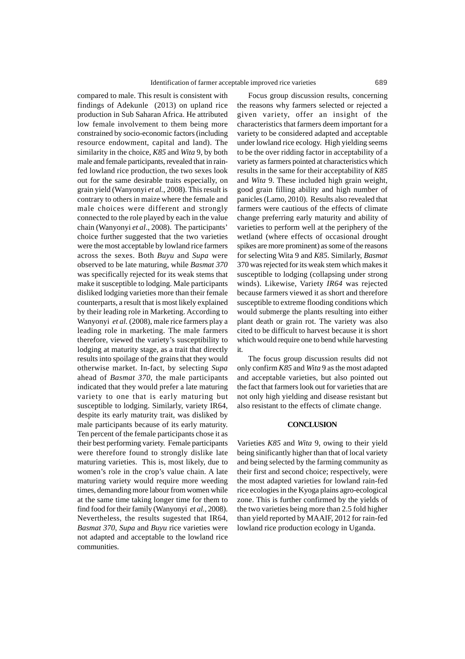compared to male. This result is consistent with findings of Adekunle (2013) on upland rice production in Sub Saharan Africa. He attributed low female involvement to them being more constrained by socio-economic factors (including resource endowment, capital and land). The similarity in the choice, *K85* and *Wita* 9, by both male and female participants, revealed that in rainfed lowland rice production, the two sexes look out for the same desirable traits especially, on grain yield (Wanyonyi *et al.*, 2008). This result is contrary to others in maize where the female and male choices were different and strongly connected to the role played by each in the value chain (Wanyonyi *et al*., 2008). The participants' choice further suggested that the two varieties were the most acceptable by lowland rice farmers across the sexes. Both *Buyu* and *Supa* were observed to be late maturing, while *Basmat 370* was specifically rejected for its weak stems that make it susceptible to lodging. Male participants disliked lodging varieties more than their female counterparts, a result that is most likely explained by their leading role in Marketing. According to Wanyonyi *et al.* (2008), male rice farmers play a leading role in marketing. The male farmers therefore, viewed the variety's susceptibility to lodging at maturity stage, as a trait that directly results into spoilage of the grains that they would otherwise market. In-fact, by selecting *Supa* ahead of *Basmat 370*, the male participants indicated that they would prefer a late maturing variety to one that is early maturing but susceptible to lodging. Similarly, variety IR64, despite its early maturity trait, was disliked by male participants because of its early maturity. Ten percent of the female participants chose it as their best performing variety. Female participants were therefore found to strongly dislike late maturing varieties. This is, most likely, due to women's role in the crop's value chain. A late maturing variety would require more weeding times, demanding more labour from women while at the same time taking longer time for them to find food for their family (Wanyonyi *et al.*, 2008). Nevertheless, the results sugested that IR64, *Basmat 370*, *Supa* and *Buyu* rice varieties were not adapted and acceptable to the lowland rice communities.

Focus group discussion results, concerning the reasons why farmers selected or rejected a given variety, offer an insight of the characteristics that farmers deem important for a variety to be considered adapted and acceptable under lowland rice ecology. High yielding seems to be the over ridding factor in acceptability of a variety as farmers pointed at characteristics which results in the same for their acceptability of *K85* and *Wita* 9. These included high grain weight, good grain filling ability and high number of panicles (Lamo, 2010). Results also revealed that farmers were cautious of the effects of climate change preferring early maturity and ability of varieties to perform well at the periphery of the wetland (where effects of occasional drought spikes are more prominent) as some of the reasons for selecting Wita 9 and *K85*. Similarly, *Basmat* 370 was rejected for its weak stem which makes it susceptible to lodging (collapsing under strong winds). Likewise, Variety *IR64* was rejected because farmers viewed it as short and therefore susceptible to extreme flooding conditions which would submerge the plants resulting into either plant death or grain rot. The variety was also cited to be difficult to harvest because it is short which would require one to bend while harvesting it.

The focus group discussion results did not only confirm *K85* and *Wita* 9 as the most adapted and acceptable varieties, but also pointed out the fact that farmers look out for varieties that are not only high yielding and disease resistant but also resistant to the effects of climate change.

## **CONCLUSION**

Varieties *K85* and *Wita* 9, owing to their yield being sinificantly higher than that of local variety and being selected by the farming community as their first and second choice; respectively, were the most adapted varieties for lowland rain-fed rice ecologies in the Kyoga plains agro-ecological zone. This is further confirmed by the yields of the two varieties being more than 2.5 fold higher than yield reported by MAAIF, 2012 for rain-fed lowland rice production ecology in Uganda.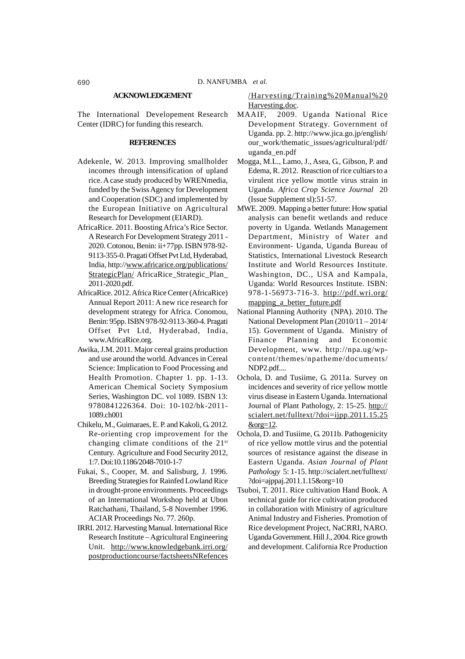#### **ACKNOWLEDGEMENT**

The International Developement Research Center (IDRC) for funding this research.

### **REFERENCES**

- Adekenle, W. 2013. Improving smallholder incomes through intensification of upland rice. A case study produced by WRENmedia, funded by the Swiss Agency for Development and Cooperation (SDC) and implemented by the European Initiative on Agricultural Research for Development (EIARD).
- AfricaRice. 2011. Boosting Africa's Rice Sector. A Research For Development Strategy 2011 - 2020. Cotonou, Benin: ii+77pp. ISBN 978-92- 9113-355-0. Pragati Offset Pvt Ltd, Hyderabad, India, http://www.africarice.org/publications/ StrategicPlan/ AfricaRice\_Strategic\_Plan\_ 2011-2020.pdf.
- AfricaRice. 2012. Africa Rice Center (AfricaRice) Annual Report 2011: A new rice research for development strategy for Africa. Conomou, Benin: 95pp. ISBN 978-92-9113-360-4. Pragati Offset Pvt Ltd, Hyderabad, India, www.AfricaRice.org.
- Awika, J.M. 2011. Major cereal grains production and use around the world. Advances in Cereal Science: Implication to Food Processing and Health Promotion. Chapter 1. pp. 1-13. American Chemical Society Symposium Series, Washington DC. vol 1089. ISBN 13: 9780841226364. Doi: 10-102/bk-2011- 1089.ch001
- Chikelu, M., Guimaraes, E. P. and Kakoli, G. 2012. Re-orienting crop improvement for the changing climate conditions of the  $21<sup>st</sup>$ Century. Agriculture and Food Security 2012, 1:7. Doi:10.1186/2048-7010-1-7
- Fukai, S., Cooper, M. and Salisburg, J. 1996. Breeding Strategies for Rainfed Lowland Rice in drought-prone environments. Proceedings of an International Workshop held at Ubon Ratchathani, Thailand, 5-8 November 1996. ACIAR Proceedings No. 77. 260p.
- IRRI. 2012. Harvesting Manual. International Rice Research Institute – Agricultural Engineering Unit. http://www.knowledgebank.irri.org/ postproductioncourse/factsheetsNRefences

/Harvesting/Training%20Manual%20 Harvesting.doc.

- MAAIF, 2009. Uganda National Rice Development Strategy. Government of Uganda. pp. 2. http://www.jica.go.jp/english/ our\_work/thematic\_issues/agricultural/pdf/ uganda\_en.pdf
- Mogga, M.L., Lamo, J., Asea, G., Gibson, P. and Edema, R. 2012. Reasction of rice cultiars to a virulent rice yellow mottle virus strain in Uganda. *Africa Crop Science Journal* 20 (Issue Supplement sl):51-57.
- MWE. 2009. Mapping a better future: How spatial analysis can benefit wetlands and reduce poverty in Uganda. Wetlands Management Department, Ministry of Water and Environment- Uganda, Uganda Bureau of Statistics, International Livestock Research Institute and World Resources Institute. Washington, DC., USA and Kampala, Uganda: World Resources Institute. ISBN: 978-1-56973-716-3. http://pdf.wri.org/ mapping a better future.pdf
- National Planning Authority (NPA). 2010. The National Development Plan (2010/11 – 2014/ 15). Government of Uganda. Ministry of Finance Planning and Economic Development, www. http://npa.ug/wpcontent/themes/npatheme/documents/ NDP2.pdf....
- Ochola, D. and Tusiime, G. 2011a. Survey on incidences and severity of rice yellow mottle virus disease in Eastern Uganda. International Journal of Plant Pathology, 2: 15-25. http:// scialert.net/fulltext/?doi=ijpp.2011.15.25 &org=12.
- Ochola, D. and Tusiime, G. 2011b. Pathogenicity of rice yellow mottle virus and the potential sources of resistance against the disease in Eastern Uganda. *Asian Journal of Plant Pathology* 5: 1-15. http://scialert.net/fulltext/ ?doi=ajppaj.2011.1.15&org=10
- Tsuboi, T. 2011. Rice cultivation Hand Book. A technical guide for rice cultivation produced in collaboration with Ministry of agriculture Animal Industry and Fisheries. Promotion of Rice development Project, NaCRRI, NARO. Uganda Government. Hill J., 2004. Rice growth and development. California Rce Production